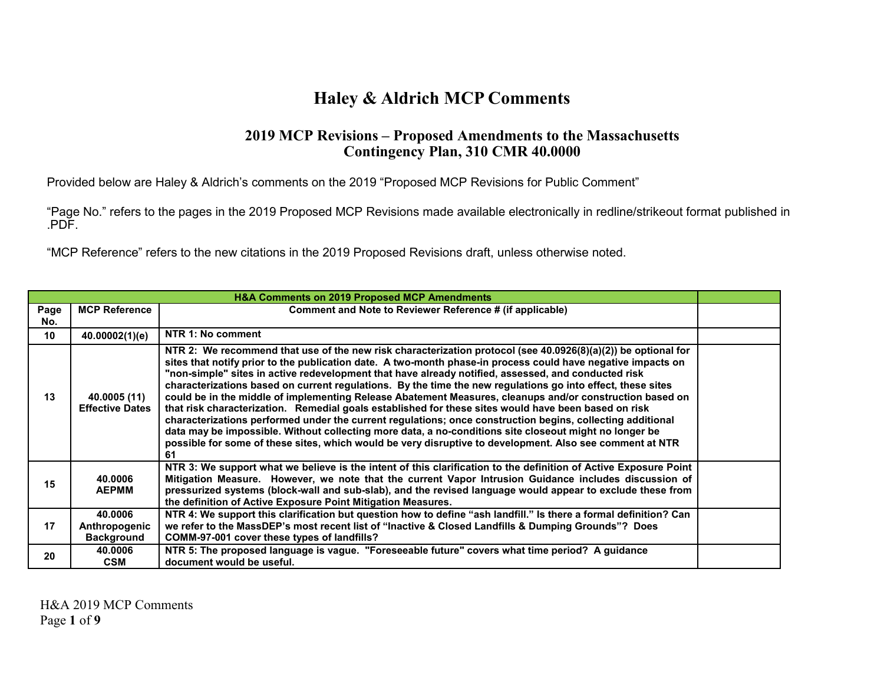## **Haley & Aldrich MCP Comments**

## **2019 MCP Revisions – Proposed Amendments to the Massachusetts Contingency Plan, 310 CMR 40.0000**

Provided below are Haley & Aldrich's comments on the 2019 "Proposed MCP Revisions for Public Comment"

"Page No." refers to the pages in the 2019 Proposed MCP Revisions made available electronically in redline/strikeout format published in .PDF.

"MCP Reference" refers to the new citations in the 2019 Proposed Revisions draft, unless otherwise noted.

| <b>H&amp;A Comments on 2019 Proposed MCP Amendments</b> |                                               |                                                                                                                                                                                                                                                                                                                                                                                                                                                                                                                                                                                                                                                                                                                                                                                                                                                                                                                                                                                                                   |  |
|---------------------------------------------------------|-----------------------------------------------|-------------------------------------------------------------------------------------------------------------------------------------------------------------------------------------------------------------------------------------------------------------------------------------------------------------------------------------------------------------------------------------------------------------------------------------------------------------------------------------------------------------------------------------------------------------------------------------------------------------------------------------------------------------------------------------------------------------------------------------------------------------------------------------------------------------------------------------------------------------------------------------------------------------------------------------------------------------------------------------------------------------------|--|
| Page<br>No.                                             | <b>MCP Reference</b>                          | Comment and Note to Reviewer Reference # (if applicable)                                                                                                                                                                                                                                                                                                                                                                                                                                                                                                                                                                                                                                                                                                                                                                                                                                                                                                                                                          |  |
| 10                                                      | 40.00002(1)(e)                                | NTR 1: No comment                                                                                                                                                                                                                                                                                                                                                                                                                                                                                                                                                                                                                                                                                                                                                                                                                                                                                                                                                                                                 |  |
| 13                                                      | 40.0005 (11)<br><b>Effective Dates</b>        | NTR 2: We recommend that use of the new risk characterization protocol (see 40.0926(8)(a)(2)) be optional for<br>sites that notify prior to the publication date. A two-month phase-in process could have negative impacts on<br>"non-simple" sites in active redevelopment that have already notified, assessed, and conducted risk<br>characterizations based on current regulations. By the time the new regulations go into effect, these sites<br>could be in the middle of implementing Release Abatement Measures, cleanups and/or construction based on<br>that risk characterization. Remedial goals established for these sites would have been based on risk<br>characterizations performed under the current regulations; once construction begins, collecting additional<br>data may be impossible. Without collecting more data, a no-conditions site closeout might no longer be<br>possible for some of these sites, which would be very disruptive to development. Also see comment at NTR<br>61 |  |
| 15                                                      | 40.0006<br><b>AEPMM</b>                       | NTR 3: We support what we believe is the intent of this clarification to the definition of Active Exposure Point<br>Mitigation Measure. However, we note that the current Vapor Intrusion Guidance includes discussion of<br>pressurized systems (block-wall and sub-slab), and the revised language would appear to exclude these from<br>the definition of Active Exposure Point Mitigation Measures.                                                                                                                                                                                                                                                                                                                                                                                                                                                                                                                                                                                                           |  |
| 17                                                      | 40.0006<br>Anthropogenic<br><b>Background</b> | NTR 4: We support this clarification but question how to define "ash landfill." Is there a formal definition? Can<br>we refer to the MassDEP's most recent list of "Inactive & Closed Landfills & Dumping Grounds"? Does<br>COMM-97-001 cover these types of landfills?                                                                                                                                                                                                                                                                                                                                                                                                                                                                                                                                                                                                                                                                                                                                           |  |
| 20                                                      | 40.0006<br><b>CSM</b>                         | NTR 5: The proposed language is vague. "Foreseeable future" covers what time period? A guidance<br>document would be useful.                                                                                                                                                                                                                                                                                                                                                                                                                                                                                                                                                                                                                                                                                                                                                                                                                                                                                      |  |

H&A 2019 MCP Comments Page **1** of **9**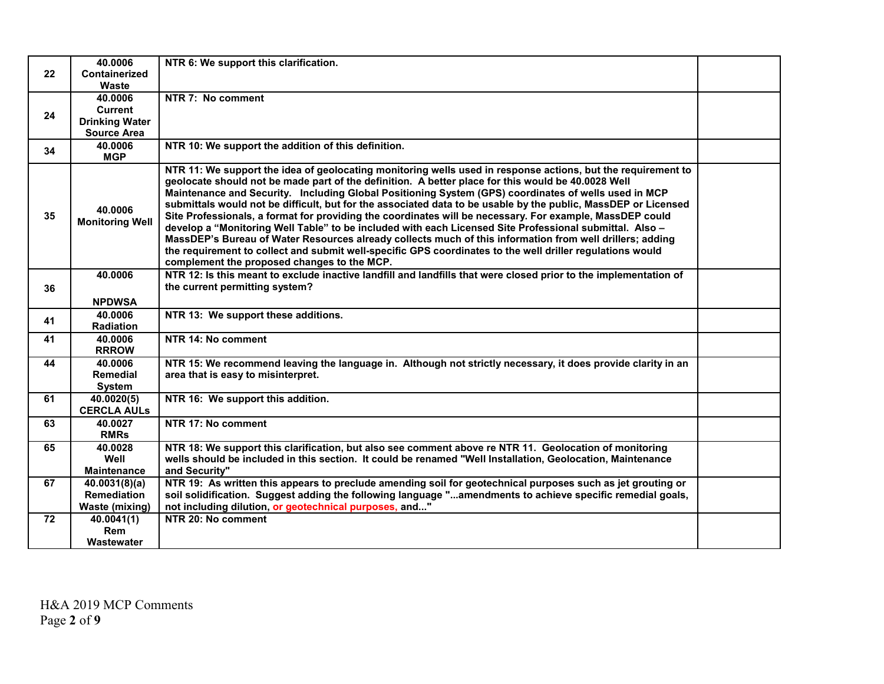| 22 | 40.0006<br>Containerized                                                 | NTR 6: We support this clarification.                                                                                                                                                                                                                                                                                                                                                                                                                                                                                                                                                                                                                                                                                                                                                                                                                                                                                                       |  |
|----|--------------------------------------------------------------------------|---------------------------------------------------------------------------------------------------------------------------------------------------------------------------------------------------------------------------------------------------------------------------------------------------------------------------------------------------------------------------------------------------------------------------------------------------------------------------------------------------------------------------------------------------------------------------------------------------------------------------------------------------------------------------------------------------------------------------------------------------------------------------------------------------------------------------------------------------------------------------------------------------------------------------------------------|--|
|    | Waste                                                                    |                                                                                                                                                                                                                                                                                                                                                                                                                                                                                                                                                                                                                                                                                                                                                                                                                                                                                                                                             |  |
| 24 | 40.0006<br><b>Current</b><br><b>Drinking Water</b><br><b>Source Area</b> | NTR 7: No comment                                                                                                                                                                                                                                                                                                                                                                                                                                                                                                                                                                                                                                                                                                                                                                                                                                                                                                                           |  |
| 34 | 40.0006<br><b>MGP</b>                                                    | NTR 10: We support the addition of this definition.                                                                                                                                                                                                                                                                                                                                                                                                                                                                                                                                                                                                                                                                                                                                                                                                                                                                                         |  |
| 35 | 40.0006<br><b>Monitoring Well</b>                                        | NTR 11: We support the idea of geolocating monitoring wells used in response actions, but the requirement to<br>geolocate should not be made part of the definition. A better place for this would be 40.0028 Well<br>Maintenance and Security. Including Global Positioning System (GPS) coordinates of wells used in MCP<br>submittals would not be difficult, but for the associated data to be usable by the public, MassDEP or Licensed<br>Site Professionals, a format for providing the coordinates will be necessary. For example, MassDEP could<br>develop a "Monitoring Well Table" to be included with each Licensed Site Professional submittal. Also -<br>MassDEP's Bureau of Water Resources already collects much of this information from well drillers; adding<br>the requirement to collect and submit well-specific GPS coordinates to the well driller regulations would<br>complement the proposed changes to the MCP. |  |
| 36 | 40.0006<br><b>NPDWSA</b>                                                 | NTR 12: Is this meant to exclude inactive landfill and landfills that were closed prior to the implementation of<br>the current permitting system?                                                                                                                                                                                                                                                                                                                                                                                                                                                                                                                                                                                                                                                                                                                                                                                          |  |
| 41 | 40.0006<br><b>Radiation</b>                                              | NTR 13: We support these additions.                                                                                                                                                                                                                                                                                                                                                                                                                                                                                                                                                                                                                                                                                                                                                                                                                                                                                                         |  |
| 41 | 40.0006<br><b>RRROW</b>                                                  | NTR 14: No comment                                                                                                                                                                                                                                                                                                                                                                                                                                                                                                                                                                                                                                                                                                                                                                                                                                                                                                                          |  |
| 44 | 40.0006<br><b>Remedial</b><br><b>System</b>                              | NTR 15: We recommend leaving the language in. Although not strictly necessary, it does provide clarity in an<br>area that is easy to misinterpret.                                                                                                                                                                                                                                                                                                                                                                                                                                                                                                                                                                                                                                                                                                                                                                                          |  |
| 61 | 40.0020(5)<br><b>CERCLA AULS</b>                                         | NTR 16: We support this addition.                                                                                                                                                                                                                                                                                                                                                                                                                                                                                                                                                                                                                                                                                                                                                                                                                                                                                                           |  |
| 63 | 40.0027<br><b>RMRs</b>                                                   | NTR 17: No comment                                                                                                                                                                                                                                                                                                                                                                                                                                                                                                                                                                                                                                                                                                                                                                                                                                                                                                                          |  |
| 65 | 40.0028<br>Well<br><b>Maintenance</b>                                    | NTR 18: We support this clarification, but also see comment above re NTR 11. Geolocation of monitoring<br>wells should be included in this section. It could be renamed "Well Installation, Geolocation, Maintenance<br>and Security"                                                                                                                                                                                                                                                                                                                                                                                                                                                                                                                                                                                                                                                                                                       |  |
| 67 | 40.0031(8)(a)<br><b>Remediation</b><br><b>Waste (mixing)</b>             | NTR 19: As written this appears to preclude amending soil for geotechnical purposes such as jet grouting or<br>soil solidification. Suggest adding the following language "amendments to achieve specific remedial goals,<br>not including dilution, or geotechnical purposes, and"                                                                                                                                                                                                                                                                                                                                                                                                                                                                                                                                                                                                                                                         |  |
| 72 | 40.0041(1)<br><b>Rem</b><br>Wastewater                                   | NTR 20: No comment                                                                                                                                                                                                                                                                                                                                                                                                                                                                                                                                                                                                                                                                                                                                                                                                                                                                                                                          |  |

H&A 2019 MCP Comments Page **2** of **9**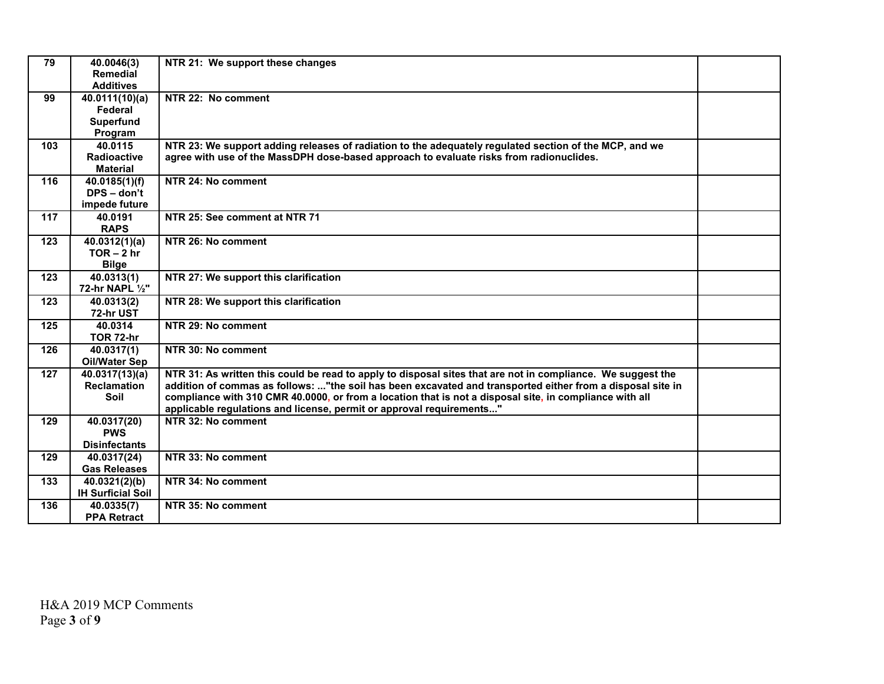| 79  | 40.0046(3)<br>Remedial<br><b>Additives</b>        | NTR 21: We support these changes                                                                                                                                                                                                                                                                                                                                                                             |  |
|-----|---------------------------------------------------|--------------------------------------------------------------------------------------------------------------------------------------------------------------------------------------------------------------------------------------------------------------------------------------------------------------------------------------------------------------------------------------------------------------|--|
| 99  | 40.0111(10)(a)<br>Federal<br>Superfund<br>Program | NTR 22: No comment                                                                                                                                                                                                                                                                                                                                                                                           |  |
| 103 | 40.0115<br><b>Radioactive</b><br><b>Material</b>  | NTR 23: We support adding releases of radiation to the adequately regulated section of the MCP, and we<br>agree with use of the MassDPH dose-based approach to evaluate risks from radionuclides.                                                                                                                                                                                                            |  |
| 116 | 40.0185(1)(f)<br>DPS - don't<br>impede future     | NTR 24: No comment                                                                                                                                                                                                                                                                                                                                                                                           |  |
| 117 | 40.0191<br><b>RAPS</b>                            | NTR 25: See comment at NTR 71                                                                                                                                                                                                                                                                                                                                                                                |  |
| 123 | 40.0312(1)(a)<br>$TOR - 2 hr$<br><b>Bilge</b>     | NTR 26: No comment                                                                                                                                                                                                                                                                                                                                                                                           |  |
| 123 | 40.0313(1)<br>72-hr NAPL 1/2"                     | NTR 27: We support this clarification                                                                                                                                                                                                                                                                                                                                                                        |  |
| 123 | 40.0313(2)<br>72-hr UST                           | NTR 28: We support this clarification                                                                                                                                                                                                                                                                                                                                                                        |  |
| 125 | 40.0314<br><b>TOR 72-hr</b>                       | NTR 29: No comment                                                                                                                                                                                                                                                                                                                                                                                           |  |
| 126 | 40.0317(1)<br>Oil/Water Sep                       | NTR 30: No comment                                                                                                                                                                                                                                                                                                                                                                                           |  |
| 127 | 40.0317(13)(a)<br>Reclamation<br>Soil             | NTR 31: As written this could be read to apply to disposal sites that are not in compliance. We suggest the<br>addition of commas as follows: "the soil has been excavated and transported either from a disposal site in<br>compliance with 310 CMR 40.0000, or from a location that is not a disposal site, in compliance with all<br>applicable regulations and license, permit or approval requirements" |  |
| 129 | 40.0317(20)<br><b>PWS</b><br><b>Disinfectants</b> | NTR 32: No comment                                                                                                                                                                                                                                                                                                                                                                                           |  |
| 129 | 40.0317(24)<br><b>Gas Releases</b>                | NTR 33: No comment                                                                                                                                                                                                                                                                                                                                                                                           |  |
| 133 | 40.0321(2)(b)                                     | NTR 34: No comment                                                                                                                                                                                                                                                                                                                                                                                           |  |
|     | <b>IH Surficial Soil</b>                          |                                                                                                                                                                                                                                                                                                                                                                                                              |  |
| 136 | 40.0335(7)<br><b>PPA Retract</b>                  | NTR 35: No comment                                                                                                                                                                                                                                                                                                                                                                                           |  |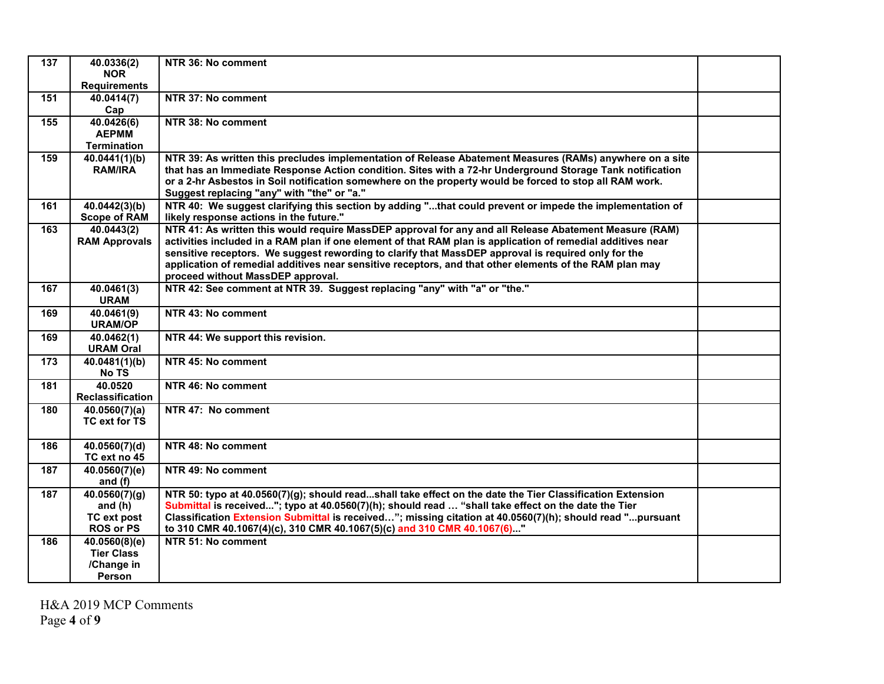| 137 | 40.0336(2)<br><b>NOR</b>             | NTR 36: No comment                                                                                                                                                                                               |  |
|-----|--------------------------------------|------------------------------------------------------------------------------------------------------------------------------------------------------------------------------------------------------------------|--|
|     | <b>Requirements</b>                  |                                                                                                                                                                                                                  |  |
| 151 | 40.0414(7)                           | NTR 37: No comment                                                                                                                                                                                               |  |
|     | Cap                                  |                                                                                                                                                                                                                  |  |
| 155 | 40.0426(6)                           | NTR 38: No comment                                                                                                                                                                                               |  |
|     | <b>AEPMM</b>                         |                                                                                                                                                                                                                  |  |
|     | <b>Termination</b>                   |                                                                                                                                                                                                                  |  |
| 159 | 40.0441(1)(b)                        | NTR 39: As written this precludes implementation of Release Abatement Measures (RAMs) anywhere on a site                                                                                                         |  |
|     | <b>RAM/IRA</b>                       | that has an Immediate Response Action condition. Sites with a 72-hr Underground Storage Tank notification                                                                                                        |  |
|     |                                      | or a 2-hr Asbestos in Soil notification somewhere on the property would be forced to stop all RAM work.                                                                                                          |  |
|     |                                      | Suggest replacing "any" with "the" or "a."                                                                                                                                                                       |  |
| 161 | 40.0442(3)(b)<br><b>Scope of RAM</b> | NTR 40: We suggest clarifying this section by adding "that could prevent or impede the implementation of<br>likely response actions in the future."                                                              |  |
| 163 | 40.0443(2)                           | NTR 41: As written this would require MassDEP approval for any and all Release Abatement Measure (RAM)                                                                                                           |  |
|     | <b>RAM Approvals</b>                 | activities included in a RAM plan if one element of that RAM plan is application of remedial additives near                                                                                                      |  |
|     |                                      | sensitive receptors. We suggest rewording to clarify that MassDEP approval is required only for the                                                                                                              |  |
|     |                                      | application of remedial additives near sensitive receptors, and that other elements of the RAM plan may                                                                                                          |  |
|     |                                      | proceed without MassDEP approval.                                                                                                                                                                                |  |
| 167 | 40.0461(3)                           | NTR 42: See comment at NTR 39. Suggest replacing "any" with "a" or "the."                                                                                                                                        |  |
|     | <b>URAM</b>                          |                                                                                                                                                                                                                  |  |
| 169 | 40.0461(9)                           | NTR 43: No comment                                                                                                                                                                                               |  |
|     | <b>URAM/OP</b>                       |                                                                                                                                                                                                                  |  |
| 169 | 40.0462(1)<br><b>URAM Oral</b>       | NTR 44: We support this revision.                                                                                                                                                                                |  |
| 173 | 40.0481(1)(b)                        | NTR 45: No comment                                                                                                                                                                                               |  |
|     | No TS                                |                                                                                                                                                                                                                  |  |
| 181 | 40.0520                              | NTR 46: No comment                                                                                                                                                                                               |  |
|     | Reclassification                     |                                                                                                                                                                                                                  |  |
| 180 | 40.0560(7)(a)                        | NTR 47: No comment                                                                                                                                                                                               |  |
|     | TC ext for TS                        |                                                                                                                                                                                                                  |  |
|     |                                      |                                                                                                                                                                                                                  |  |
| 186 | 40.0560(7)(d)                        | NTR 48: No comment                                                                                                                                                                                               |  |
|     | TC ext no 45                         |                                                                                                                                                                                                                  |  |
| 187 | $\sqrt{40.0560(7)}$ (e)              | NTR 49: No comment                                                                                                                                                                                               |  |
|     | and $(f)$                            |                                                                                                                                                                                                                  |  |
| 187 | 40.0560(7)(g)<br>and $(h)$           | NTR 50: typo at 40.0560(7)(g); should readshall take effect on the date the Tier Classification Extension<br>Submittal is received"; typo at 40.0560(7)(h); should read  "shall take effect on the date the Tier |  |
|     | TC ext post                          | Classification Extension Submittal is received"; missing citation at 40.0560(7)(h); should read "pursuant                                                                                                        |  |
|     | <b>ROS or PS</b>                     | to 310 CMR 40.1067(4)(c), 310 CMR 40.1067(5)(c) and 310 CMR 40.1067(6)"                                                                                                                                          |  |
| 186 | 40.0560(8)(e)                        | NTR 51: No comment                                                                                                                                                                                               |  |
|     | <b>Tier Class</b>                    |                                                                                                                                                                                                                  |  |
|     | /Change in                           |                                                                                                                                                                                                                  |  |
|     | Person                               |                                                                                                                                                                                                                  |  |

H&A 2019 MCP Comments Page **4** of **9**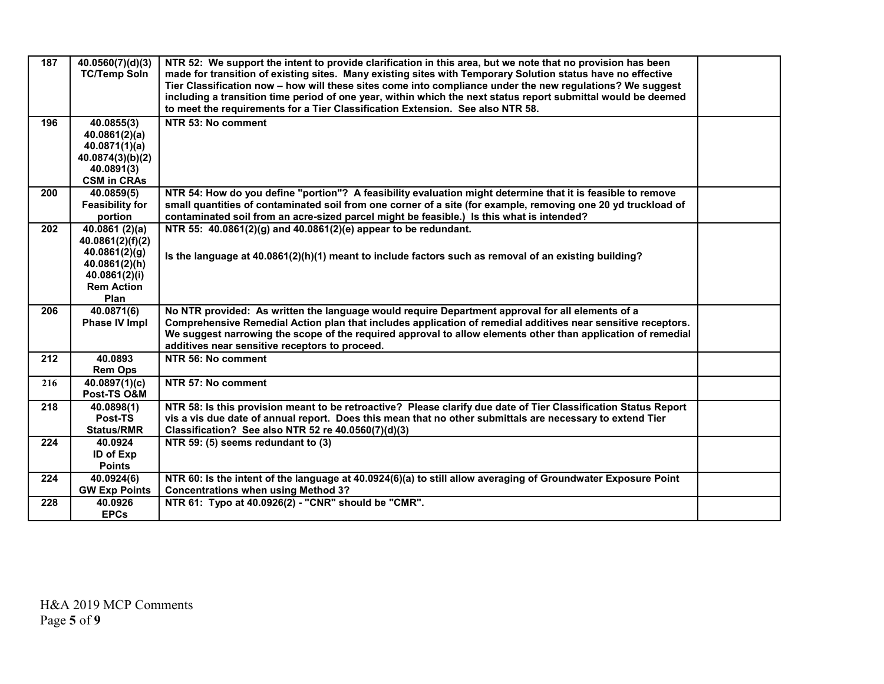| 187 | 40.0560(7)(d)(3)<br><b>TC/Temp Soln</b>                                                                           | NTR 52: We support the intent to provide clarification in this area, but we note that no provision has been<br>made for transition of existing sites. Many existing sites with Temporary Solution status have no effective<br>Tier Classification now – how will these sites come into compliance under the new regulations? We suggest<br>including a transition time period of one year, within which the next status report submittal would be deemed<br>to meet the requirements for a Tier Classification Extension. See also NTR 58. |  |
|-----|-------------------------------------------------------------------------------------------------------------------|--------------------------------------------------------------------------------------------------------------------------------------------------------------------------------------------------------------------------------------------------------------------------------------------------------------------------------------------------------------------------------------------------------------------------------------------------------------------------------------------------------------------------------------------|--|
| 196 | 40.0855(3)<br>40.0861(2)(a)<br>40.0871(1)(a)<br>40.0874(3)(b)(2)<br>40.0891(3)<br><b>CSM in CRAs</b>              | NTR 53: No comment                                                                                                                                                                                                                                                                                                                                                                                                                                                                                                                         |  |
| 200 | 40.0859(5)<br><b>Feasibility for</b><br>portion                                                                   | NTR 54: How do you define "portion"? A feasibility evaluation might determine that it is feasible to remove<br>small quantities of contaminated soil from one corner of a site (for example, removing one 20 yd truckload of<br>contaminated soil from an acre-sized parcel might be feasible.) Is this what is intended?                                                                                                                                                                                                                  |  |
| 202 | 40.0861(2)(a)<br>40.0861(2)(f)(2)<br>40.0861(2)(g)<br>40.0861(2)(h)<br>40.0861(2)(i)<br><b>Rem Action</b><br>Plan | NTR 55: 40.0861(2)(g) and 40.0861(2)(e) appear to be redundant.<br>Is the language at $40.0861(2)(h)(1)$ meant to include factors such as removal of an existing building?                                                                                                                                                                                                                                                                                                                                                                 |  |
| 206 | 40.0871(6)<br>Phase IV Impl                                                                                       | No NTR provided: As written the language would require Department approval for all elements of a<br>Comprehensive Remedial Action plan that includes application of remedial additives near sensitive receptors.<br>We suggest narrowing the scope of the required approval to allow elements other than application of remedial<br>additives near sensitive receptors to proceed.                                                                                                                                                         |  |
| 212 | 40.0893<br><b>Rem Ops</b>                                                                                         | NTR 56: No comment                                                                                                                                                                                                                                                                                                                                                                                                                                                                                                                         |  |
| 216 | 40.0897(1)(c)<br>Post-TS O&M                                                                                      | NTR 57: No comment                                                                                                                                                                                                                                                                                                                                                                                                                                                                                                                         |  |
| 218 | 40.0898(1)<br>Post-TS<br><b>Status/RMR</b>                                                                        | NTR 58: Is this provision meant to be retroactive? Please clarify due date of Tier Classification Status Report<br>vis a vis due date of annual report. Does this mean that no other submittals are necessary to extend Tier<br>Classification? See also NTR 52 re 40.0560(7)(d)(3)                                                                                                                                                                                                                                                        |  |
| 224 | 40.0924<br>ID of Exp<br><b>Points</b>                                                                             | NTR 59: (5) seems redundant to (3)                                                                                                                                                                                                                                                                                                                                                                                                                                                                                                         |  |
| 224 | 40.0924(6)<br><b>GW Exp Points</b>                                                                                | NTR 60: Is the intent of the language at 40.0924(6)(a) to still allow averaging of Groundwater Exposure Point<br><b>Concentrations when using Method 3?</b>                                                                                                                                                                                                                                                                                                                                                                                |  |
| 228 | 40.0926<br><b>EPCs</b>                                                                                            | NTR 61: Typo at 40.0926(2) - "CNR" should be "CMR".                                                                                                                                                                                                                                                                                                                                                                                                                                                                                        |  |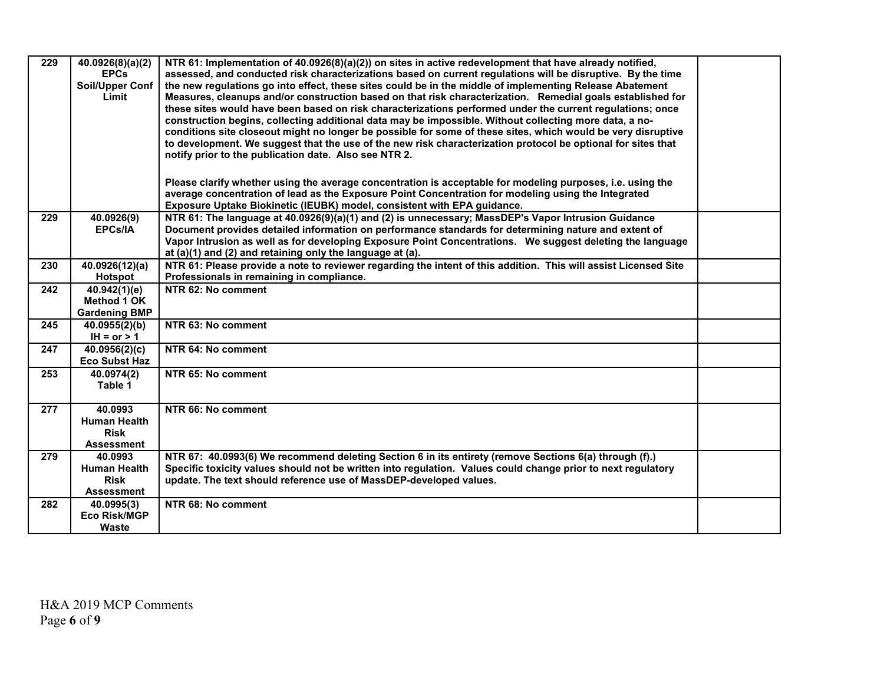| 229 | 40.0926(8)(a)(2)<br><b>EPCs</b><br><b>Soil/Upper Conf</b><br>Limit | NTR 61: Implementation of 40.0926(8)(a)(2)) on sites in active redevelopment that have already notified,<br>assessed, and conducted risk characterizations based on current regulations will be disruptive. By the time<br>the new regulations go into effect, these sites could be in the middle of implementing Release Abatement<br>Measures, cleanups and/or construction based on that risk characterization. Remedial goals established for<br>these sites would have been based on risk characterizations performed under the current regulations; once<br>construction begins, collecting additional data may be impossible. Without collecting more data, a no-<br>conditions site closeout might no longer be possible for some of these sites, which would be very disruptive<br>to development. We suggest that the use of the new risk characterization protocol be optional for sites that<br>notify prior to the publication date. Also see NTR 2. |  |
|-----|--------------------------------------------------------------------|-------------------------------------------------------------------------------------------------------------------------------------------------------------------------------------------------------------------------------------------------------------------------------------------------------------------------------------------------------------------------------------------------------------------------------------------------------------------------------------------------------------------------------------------------------------------------------------------------------------------------------------------------------------------------------------------------------------------------------------------------------------------------------------------------------------------------------------------------------------------------------------------------------------------------------------------------------------------|--|
|     |                                                                    | Please clarify whether using the average concentration is acceptable for modeling purposes, i.e. using the<br>average concentration of lead as the Exposure Point Concentration for modeling using the Integrated<br>Exposure Uptake Biokinetic (IEUBK) model, consistent with EPA guidance.                                                                                                                                                                                                                                                                                                                                                                                                                                                                                                                                                                                                                                                                      |  |
| 229 | 40.0926(9)<br><b>EPCs/IA</b>                                       | NTR 61: The language at 40.0926(9)(a)(1) and (2) is unnecessary; MassDEP's Vapor Intrusion Guidance<br>Document provides detailed information on performance standards for determining nature and extent of<br>Vapor Intrusion as well as for developing Exposure Point Concentrations. We suggest deleting the language<br>at (a)(1) and (2) and retaining only the language at (a).                                                                                                                                                                                                                                                                                                                                                                                                                                                                                                                                                                             |  |
| 230 | 40.0926(12)(a)<br>Hotspot                                          | NTR 61: Please provide a note to reviewer regarding the intent of this addition. This will assist Licensed Site<br>Professionals in remaining in compliance.                                                                                                                                                                                                                                                                                                                                                                                                                                                                                                                                                                                                                                                                                                                                                                                                      |  |
| 242 | 40.942(1)(e)<br>Method 1 OK<br><b>Gardening BMP</b>                | NTR 62: No comment                                                                                                                                                                                                                                                                                                                                                                                                                                                                                                                                                                                                                                                                                                                                                                                                                                                                                                                                                |  |
| 245 | 40.0955(2)(b)<br>$IH = or > 1$                                     | NTR 63: No comment                                                                                                                                                                                                                                                                                                                                                                                                                                                                                                                                                                                                                                                                                                                                                                                                                                                                                                                                                |  |
| 247 | 40.0956(2)(c)<br><b>Eco Subst Haz</b>                              | NTR 64: No comment                                                                                                                                                                                                                                                                                                                                                                                                                                                                                                                                                                                                                                                                                                                                                                                                                                                                                                                                                |  |
| 253 | 40.0974(2)<br>Table 1                                              | NTR 65: No comment                                                                                                                                                                                                                                                                                                                                                                                                                                                                                                                                                                                                                                                                                                                                                                                                                                                                                                                                                |  |
| 277 | 40.0993<br><b>Human Health</b><br><b>Risk</b><br><b>Assessment</b> | NTR 66: No comment                                                                                                                                                                                                                                                                                                                                                                                                                                                                                                                                                                                                                                                                                                                                                                                                                                                                                                                                                |  |
| 279 | 40.0993<br><b>Human Health</b><br><b>Risk</b><br><b>Assessment</b> | NTR 67: 40.0993(6) We recommend deleting Section 6 in its entirety (remove Sections 6(a) through (f).)<br>Specific toxicity values should not be written into regulation. Values could change prior to next regulatory<br>update. The text should reference use of MassDEP-developed values.                                                                                                                                                                                                                                                                                                                                                                                                                                                                                                                                                                                                                                                                      |  |
| 282 | 40.0995(3)<br><b>Eco Risk/MGP</b><br>Waste                         | NTR 68: No comment                                                                                                                                                                                                                                                                                                                                                                                                                                                                                                                                                                                                                                                                                                                                                                                                                                                                                                                                                |  |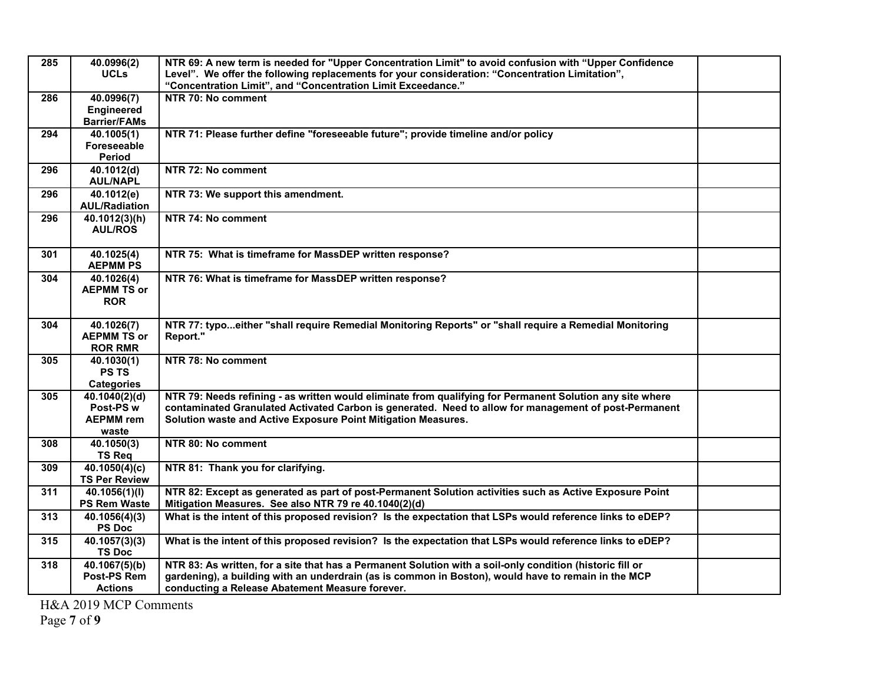| 285 | 40.0996(2)                 | NTR 69: A new term is needed for "Upper Concentration Limit" to avoid confusion with "Upper Confidence    |  |
|-----|----------------------------|-----------------------------------------------------------------------------------------------------------|--|
|     | <b>UCLs</b>                | Level". We offer the following replacements for your consideration: "Concentration Limitation",           |  |
|     |                            | "Concentration Limit", and "Concentration Limit Exceedance."                                              |  |
| 286 | 40.0996(7)                 | NTR 70: No comment                                                                                        |  |
|     | <b>Engineered</b>          |                                                                                                           |  |
|     | <b>Barrier/FAMs</b>        |                                                                                                           |  |
| 294 | 40.1005(1)                 | NTR 71: Please further define "foreseeable future"; provide timeline and/or policy                        |  |
|     | Foreseeable                |                                                                                                           |  |
|     | Period                     |                                                                                                           |  |
| 296 | 40.1012(d)                 | NTR 72: No comment                                                                                        |  |
|     | <b>AUL/NAPL</b>            |                                                                                                           |  |
| 296 | 40.1012(e)                 | NTR 73: We support this amendment.                                                                        |  |
|     | <b>AUL/Radiation</b>       |                                                                                                           |  |
| 296 | 40.1012(3)(h)              | NTR 74: No comment                                                                                        |  |
|     | <b>AUL/ROS</b>             |                                                                                                           |  |
|     |                            |                                                                                                           |  |
| 301 | 40.1025(4)                 | NTR 75: What is timeframe for MassDEP written response?                                                   |  |
|     | <b>AEPMM PS</b>            |                                                                                                           |  |
| 304 | $\overline{40.1026(4)}$    | NTR 76: What is timeframe for MassDEP written response?                                                   |  |
|     | <b>AEPMM TS or</b>         |                                                                                                           |  |
|     | <b>ROR</b>                 |                                                                                                           |  |
|     |                            |                                                                                                           |  |
| 304 | 40.1026(7)                 | NTR 77: typoeither "shall require Remedial Monitoring Reports" or "shall require a Remedial Monitoring    |  |
|     | <b>AEPMM TS or</b>         | Report."                                                                                                  |  |
|     | <b>ROR RMR</b>             |                                                                                                           |  |
| 305 | 40.1030(1)                 | NTR 78: No comment                                                                                        |  |
|     | <b>PS TS</b>               |                                                                                                           |  |
|     | <b>Categories</b>          |                                                                                                           |  |
| 305 | 40.1040(2)(d)              | NTR 79: Needs refining - as written would eliminate from qualifying for Permanent Solution any site where |  |
|     | Post-PS w                  | contaminated Granulated Activated Carbon is generated. Need to allow for management of post-Permanent     |  |
|     | <b>AEPMM</b> rem           | Solution waste and Active Exposure Point Mitigation Measures.                                             |  |
|     | waste                      |                                                                                                           |  |
| 308 | 40.1050(3)                 | NTR 80: No comment                                                                                        |  |
|     | <b>TS Req</b>              |                                                                                                           |  |
| 309 | 40.1050(4)(c)              | NTR 81: Thank you for clarifying.                                                                         |  |
|     | <b>TS Per Review</b>       |                                                                                                           |  |
| 311 | $\overline{40.1056(1)(l)}$ | NTR 82: Except as generated as part of post-Permanent Solution activities such as Active Exposure Point   |  |
|     | PS Rem Waste               | Mitigation Measures. See also NTR 79 re 40.1040(2)(d)                                                     |  |
| 313 | 40.1056(4)(3)              | What is the intent of this proposed revision? Is the expectation that LSPs would reference links to eDEP? |  |
|     | <b>PS Doc</b>              |                                                                                                           |  |
| 315 | $\overline{40.1057(3)(3)}$ | What is the intent of this proposed revision? Is the expectation that LSPs would reference links to eDEP? |  |
|     | <b>TS Doc</b>              |                                                                                                           |  |
| 318 | 40.1067(5)(b)              | NTR 83: As written, for a site that has a Permanent Solution with a soil-only condition (historic fill or |  |
|     | Post-PS Rem                | gardening), a building with an underdrain (as is common in Boston), would have to remain in the MCP       |  |
|     | <b>Actions</b>             | conducting a Release Abatement Measure forever.                                                           |  |

H&A 2019 MCP Comments

Page **7** of **9**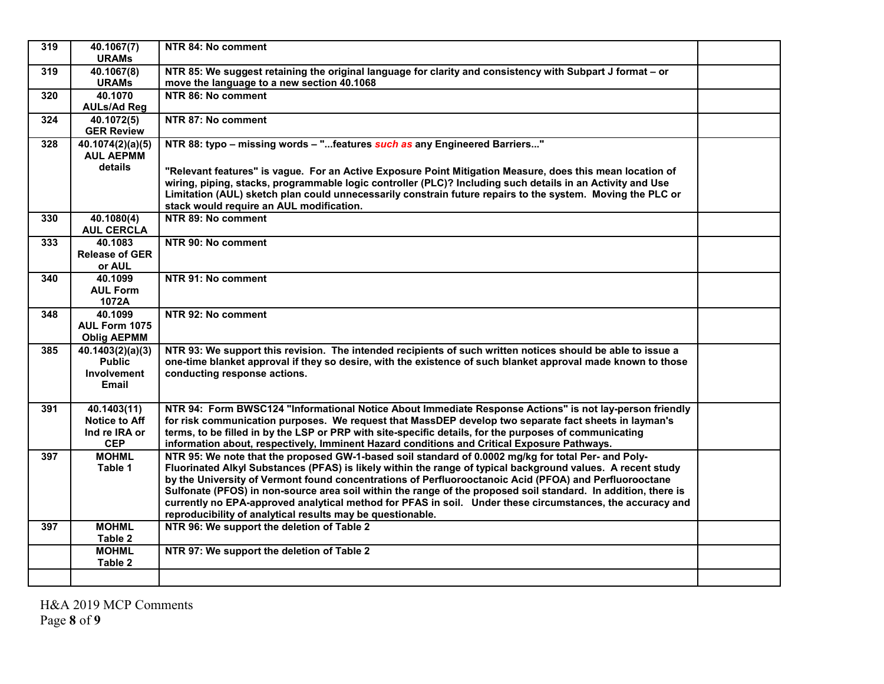| 319 | 40.1067(7)                          | NTR 84: No comment                                                                                                                                                                                               |  |
|-----|-------------------------------------|------------------------------------------------------------------------------------------------------------------------------------------------------------------------------------------------------------------|--|
|     | <b>URAMs</b>                        |                                                                                                                                                                                                                  |  |
| 319 | 40.1067(8)                          | NTR 85: We suggest retaining the original language for clarity and consistency with Subpart J format - or                                                                                                        |  |
|     | <b>URAMs</b>                        | move the language to a new section 40.1068                                                                                                                                                                       |  |
| 320 | 40.1070                             | NTR 86: No comment                                                                                                                                                                                               |  |
|     | <b>AULs/Ad Reg</b>                  |                                                                                                                                                                                                                  |  |
| 324 | 40.1072(5)                          | NTR 87: No comment                                                                                                                                                                                               |  |
|     | <b>GER Review</b>                   |                                                                                                                                                                                                                  |  |
| 328 | 40.1074(2)(a)(5)                    | NTR 88: typo - missing words - "features such as any Engineered Barriers"                                                                                                                                        |  |
|     | <b>AUL AEPMM</b>                    |                                                                                                                                                                                                                  |  |
|     | details                             | "Relevant features" is vague. For an Active Exposure Point Mitigation Measure, does this mean location of                                                                                                        |  |
|     |                                     | wiring, piping, stacks, programmable logic controller (PLC)? Including such details in an Activity and Use                                                                                                       |  |
|     |                                     | Limitation (AUL) sketch plan could unnecessarily constrain future repairs to the system. Moving the PLC or                                                                                                       |  |
|     |                                     | stack would require an AUL modification.                                                                                                                                                                         |  |
| 330 | 40.1080(4)                          | NTR 89: No comment                                                                                                                                                                                               |  |
|     | <b>AUL CERCLA</b>                   |                                                                                                                                                                                                                  |  |
| 333 | 40.1083                             | NTR 90: No comment                                                                                                                                                                                               |  |
|     | <b>Release of GER</b>               |                                                                                                                                                                                                                  |  |
|     | or AUL                              |                                                                                                                                                                                                                  |  |
| 340 | 40.1099                             | NTR 91: No comment                                                                                                                                                                                               |  |
|     | <b>AUL Form</b>                     |                                                                                                                                                                                                                  |  |
|     | 1072A                               |                                                                                                                                                                                                                  |  |
| 348 | 40.1099                             | NTR 92: No comment                                                                                                                                                                                               |  |
|     | AUL Form 1075                       |                                                                                                                                                                                                                  |  |
|     | <b>Oblig AEPMM</b>                  |                                                                                                                                                                                                                  |  |
| 385 | 40.1403(2)(a)(3)                    | NTR 93: We support this revision. The intended recipients of such written notices should be able to issue a                                                                                                      |  |
|     | <b>Public</b>                       | one-time blanket approval if they so desire, with the existence of such blanket approval made known to those                                                                                                     |  |
|     | Involvement                         | conducting response actions.                                                                                                                                                                                     |  |
|     | <b>Email</b>                        |                                                                                                                                                                                                                  |  |
|     |                                     |                                                                                                                                                                                                                  |  |
| 391 | 40.1403(11)<br><b>Notice to Aff</b> | NTR 94: Form BWSC124 "Informational Notice About Immediate Response Actions" is not lay-person friendly<br>for risk communication purposes. We request that MassDEP develop two separate fact sheets in layman's |  |
|     | Ind re IRA or                       | terms, to be filled in by the LSP or PRP with site-specific details, for the purposes of communicating                                                                                                           |  |
|     | <b>CEP</b>                          | information about, respectively, Imminent Hazard conditions and Critical Exposure Pathways.                                                                                                                      |  |
| 397 | <b>MOHML</b>                        | NTR 95: We note that the proposed GW-1-based soil standard of 0.0002 mg/kg for total Per- and Poly-                                                                                                              |  |
|     | Table 1                             | Fluorinated Alkyl Substances (PFAS) is likely within the range of typical background values. A recent study                                                                                                      |  |
|     |                                     | by the University of Vermont found concentrations of Perfluorooctanoic Acid (PFOA) and Perfluorooctane                                                                                                           |  |
|     |                                     | Sulfonate (PFOS) in non-source area soil within the range of the proposed soil standard. In addition, there is                                                                                                   |  |
|     |                                     | currently no EPA-approved analytical method for PFAS in soil. Under these circumstances, the accuracy and                                                                                                        |  |
|     |                                     | reproducibility of analytical results may be questionable.                                                                                                                                                       |  |
| 397 | <b>MOHML</b>                        | NTR 96: We support the deletion of Table 2                                                                                                                                                                       |  |
|     | Table 2                             |                                                                                                                                                                                                                  |  |
|     | <b>MOHML</b>                        | NTR 97: We support the deletion of Table 2                                                                                                                                                                       |  |
|     | Table 2                             |                                                                                                                                                                                                                  |  |
|     |                                     |                                                                                                                                                                                                                  |  |
|     |                                     |                                                                                                                                                                                                                  |  |

H&A 2019 MCP Comments Page **8** of **9**